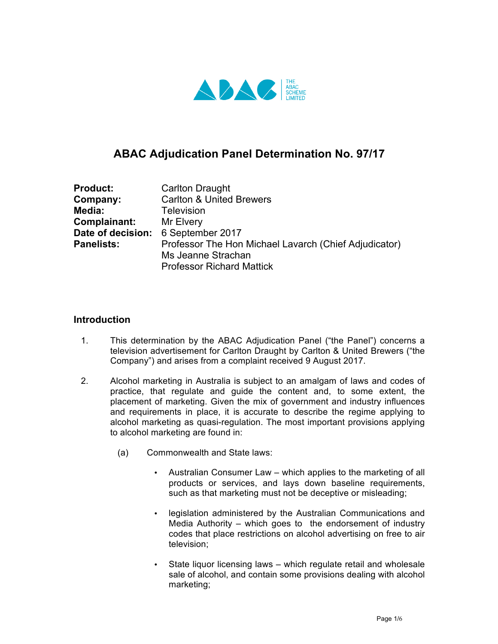

# **ABAC Adjudication Panel Determination No. 97/17**

| <b>Product:</b>   | <b>Carlton Draught</b>                                                      |
|-------------------|-----------------------------------------------------------------------------|
| Company:          | <b>Carlton &amp; United Brewers</b>                                         |
| Media:            | Television                                                                  |
| Complainant:      | Mr Elvery                                                                   |
| Date of decision: | 6 September 2017                                                            |
| <b>Panelists:</b> | Professor The Hon Michael Lavarch (Chief Adjudicator)<br>Ms Jeanne Strachan |
|                   | <b>Professor Richard Mattick</b>                                            |

### **Introduction**

- 1. This determination by the ABAC Adjudication Panel ("the Panel") concerns a television advertisement for Carlton Draught by Carlton & United Brewers ("the Company") and arises from a complaint received 9 August 2017.
- 2. Alcohol marketing in Australia is subject to an amalgam of laws and codes of practice, that regulate and guide the content and, to some extent, the placement of marketing. Given the mix of government and industry influences and requirements in place, it is accurate to describe the regime applying to alcohol marketing as quasi-regulation. The most important provisions applying to alcohol marketing are found in:
	- (a) Commonwealth and State laws:
		- Australian Consumer Law which applies to the marketing of all products or services, and lays down baseline requirements, such as that marketing must not be deceptive or misleading;
		- legislation administered by the Australian Communications and Media Authority – which goes to the endorsement of industry codes that place restrictions on alcohol advertising on free to air television;
		- State liquor licensing laws which regulate retail and wholesale sale of alcohol, and contain some provisions dealing with alcohol marketing;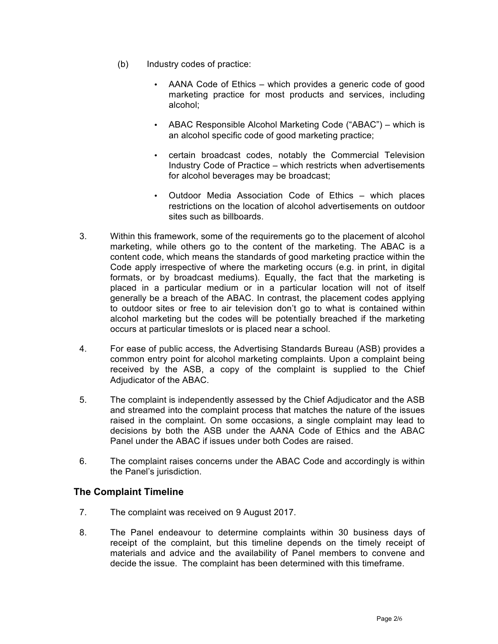- (b) Industry codes of practice:
	- AANA Code of Ethics which provides a generic code of good marketing practice for most products and services, including alcohol;
	- ABAC Responsible Alcohol Marketing Code ("ABAC") which is an alcohol specific code of good marketing practice;
	- certain broadcast codes, notably the Commercial Television Industry Code of Practice – which restricts when advertisements for alcohol beverages may be broadcast;
	- Outdoor Media Association Code of Ethics which places restrictions on the location of alcohol advertisements on outdoor sites such as billboards.
- 3. Within this framework, some of the requirements go to the placement of alcohol marketing, while others go to the content of the marketing. The ABAC is a content code, which means the standards of good marketing practice within the Code apply irrespective of where the marketing occurs (e.g. in print, in digital formats, or by broadcast mediums). Equally, the fact that the marketing is placed in a particular medium or in a particular location will not of itself generally be a breach of the ABAC. In contrast, the placement codes applying to outdoor sites or free to air television don't go to what is contained within alcohol marketing but the codes will be potentially breached if the marketing occurs at particular timeslots or is placed near a school.
- 4. For ease of public access, the Advertising Standards Bureau (ASB) provides a common entry point for alcohol marketing complaints. Upon a complaint being received by the ASB, a copy of the complaint is supplied to the Chief Adjudicator of the ABAC.
- 5. The complaint is independently assessed by the Chief Adjudicator and the ASB and streamed into the complaint process that matches the nature of the issues raised in the complaint. On some occasions, a single complaint may lead to decisions by both the ASB under the AANA Code of Ethics and the ABAC Panel under the ABAC if issues under both Codes are raised.
- 6. The complaint raises concerns under the ABAC Code and accordingly is within the Panel's jurisdiction.

## **The Complaint Timeline**

- 7. The complaint was received on 9 August 2017.
- 8. The Panel endeavour to determine complaints within 30 business days of receipt of the complaint, but this timeline depends on the timely receipt of materials and advice and the availability of Panel members to convene and decide the issue. The complaint has been determined with this timeframe.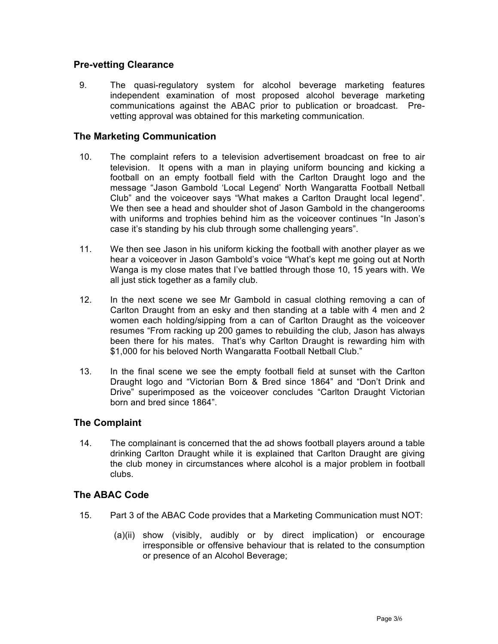## **Pre-vetting Clearance**

9. The quasi-regulatory system for alcohol beverage marketing features independent examination of most proposed alcohol beverage marketing communications against the ABAC prior to publication or broadcast. Prevetting approval was obtained for this marketing communication.

#### **The Marketing Communication**

- 10. The complaint refers to a television advertisement broadcast on free to air television. It opens with a man in playing uniform bouncing and kicking a football on an empty football field with the Carlton Draught logo and the message "Jason Gambold 'Local Legend' North Wangaratta Football Netball Club" and the voiceover says "What makes a Carlton Draught local legend". We then see a head and shoulder shot of Jason Gambold in the changerooms with uniforms and trophies behind him as the voiceover continues "In Jason's case it's standing by his club through some challenging years".
- 11. We then see Jason in his uniform kicking the football with another player as we hear a voiceover in Jason Gambold's voice "What's kept me going out at North Wanga is my close mates that I've battled through those 10, 15 years with. We all just stick together as a family club.
- 12. In the next scene we see Mr Gambold in casual clothing removing a can of Carlton Draught from an esky and then standing at a table with 4 men and 2 women each holding/sipping from a can of Carlton Draught as the voiceover resumes "From racking up 200 games to rebuilding the club, Jason has always been there for his mates. That's why Carlton Draught is rewarding him with \$1,000 for his beloved North Wangaratta Football Netball Club."
- 13. In the final scene we see the empty football field at sunset with the Carlton Draught logo and "Victorian Born & Bred since 1864" and "Don't Drink and Drive" superimposed as the voiceover concludes "Carlton Draught Victorian born and bred since 1864".

#### **The Complaint**

14. The complainant is concerned that the ad shows football players around a table drinking Carlton Draught while it is explained that Carlton Draught are giving the club money in circumstances where alcohol is a major problem in football clubs.

#### **The ABAC Code**

- 15. Part 3 of the ABAC Code provides that a Marketing Communication must NOT:
	- (a)(ii) show (visibly, audibly or by direct implication) or encourage irresponsible or offensive behaviour that is related to the consumption or presence of an Alcohol Beverage;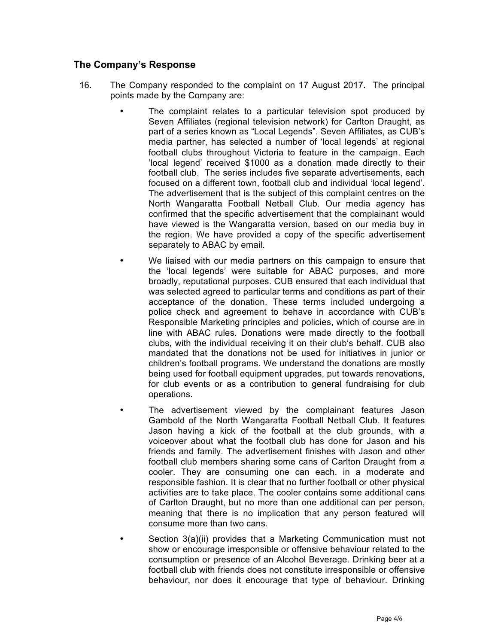## **The Company's Response**

- 16. The Company responded to the complaint on 17 August 2017. The principal points made by the Company are:
	- The complaint relates to a particular television spot produced by Seven Affiliates (regional television network) for Carlton Draught, as part of a series known as "Local Legends". Seven Affiliates, as CUB's media partner, has selected a number of 'local legends' at regional football clubs throughout Victoria to feature in the campaign. Each 'local legend' received \$1000 as a donation made directly to their football club. The series includes five separate advertisements, each focused on a different town, football club and individual 'local legend'. The advertisement that is the subject of this complaint centres on the North Wangaratta Football Netball Club. Our media agency has confirmed that the specific advertisement that the complainant would have viewed is the Wangaratta version, based on our media buy in the region. We have provided a copy of the specific advertisement separately to ABAC by email.
	- We liaised with our media partners on this campaign to ensure that the 'local legends' were suitable for ABAC purposes, and more broadly, reputational purposes. CUB ensured that each individual that was selected agreed to particular terms and conditions as part of their acceptance of the donation. These terms included undergoing a police check and agreement to behave in accordance with CUB's Responsible Marketing principles and policies, which of course are in line with ABAC rules. Donations were made directly to the football clubs, with the individual receiving it on their club's behalf. CUB also mandated that the donations not be used for initiatives in junior or children's football programs. We understand the donations are mostly being used for football equipment upgrades, put towards renovations, for club events or as a contribution to general fundraising for club operations.
	- The advertisement viewed by the complainant features Jason Gambold of the North Wangaratta Football Netball Club. It features Jason having a kick of the football at the club grounds, with a voiceover about what the football club has done for Jason and his friends and family. The advertisement finishes with Jason and other football club members sharing some cans of Carlton Draught from a cooler. They are consuming one can each, in a moderate and responsible fashion. It is clear that no further football or other physical activities are to take place. The cooler contains some additional cans of Carlton Draught, but no more than one additional can per person, meaning that there is no implication that any person featured will consume more than two cans.
	- Section 3(a)(ii) provides that a Marketing Communication must not show or encourage irresponsible or offensive behaviour related to the consumption or presence of an Alcohol Beverage. Drinking beer at a football club with friends does not constitute irresponsible or offensive behaviour, nor does it encourage that type of behaviour. Drinking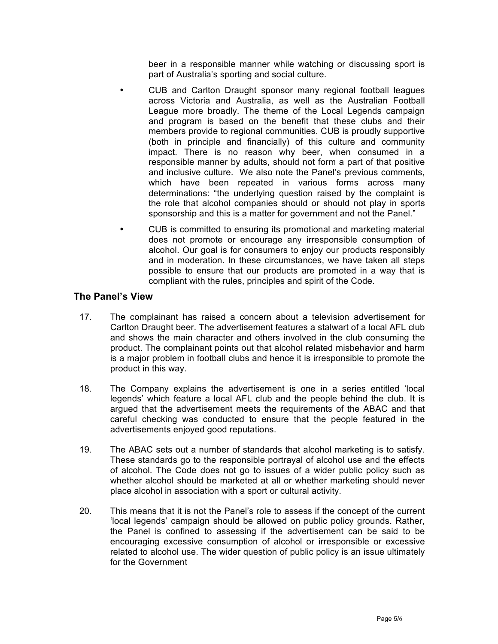beer in a responsible manner while watching or discussing sport is part of Australia's sporting and social culture.

- CUB and Carlton Draught sponsor many regional football leagues across Victoria and Australia, as well as the Australian Football League more broadly. The theme of the Local Legends campaign and program is based on the benefit that these clubs and their members provide to regional communities. CUB is proudly supportive (both in principle and financially) of this culture and community impact. There is no reason why beer, when consumed in a responsible manner by adults, should not form a part of that positive and inclusive culture. We also note the Panel's previous comments, which have been repeated in various forms across many determinations: "the underlying question raised by the complaint is the role that alcohol companies should or should not play in sports sponsorship and this is a matter for government and not the Panel."
- CUB is committed to ensuring its promotional and marketing material does not promote or encourage any irresponsible consumption of alcohol. Our goal is for consumers to enjoy our products responsibly and in moderation. In these circumstances, we have taken all steps possible to ensure that our products are promoted in a way that is compliant with the rules, principles and spirit of the Code.

#### **The Panel's View**

- 17. The complainant has raised a concern about a television advertisement for Carlton Draught beer. The advertisement features a stalwart of a local AFL club and shows the main character and others involved in the club consuming the product. The complainant points out that alcohol related misbehavior and harm is a major problem in football clubs and hence it is irresponsible to promote the product in this way.
- 18. The Company explains the advertisement is one in a series entitled 'local legends' which feature a local AFL club and the people behind the club. It is argued that the advertisement meets the requirements of the ABAC and that careful checking was conducted to ensure that the people featured in the advertisements enjoyed good reputations.
- 19. The ABAC sets out a number of standards that alcohol marketing is to satisfy. These standards go to the responsible portrayal of alcohol use and the effects of alcohol. The Code does not go to issues of a wider public policy such as whether alcohol should be marketed at all or whether marketing should never place alcohol in association with a sport or cultural activity.
- 20. This means that it is not the Panel's role to assess if the concept of the current 'local legends' campaign should be allowed on public policy grounds. Rather, the Panel is confined to assessing if the advertisement can be said to be encouraging excessive consumption of alcohol or irresponsible or excessive related to alcohol use. The wider question of public policy is an issue ultimately for the Government